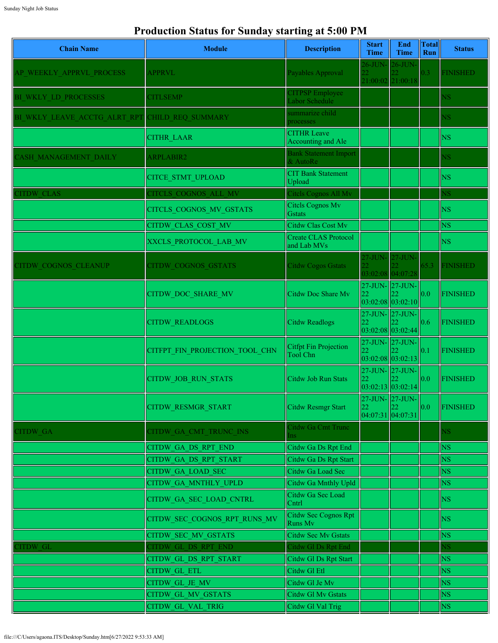## **Production Status for Sunday starting at 5:00 PM**

| <b>Chain Name</b>            | <b>Module</b>                        | <b>Description</b>                              | <b>Start</b><br>Time        | End<br><b>Time</b>                               | <b>Total</b><br>Run | <b>Status</b>    |
|------------------------------|--------------------------------------|-------------------------------------------------|-----------------------------|--------------------------------------------------|---------------------|------------------|
| AP WEEKLY APPRVL PROCESS     | <b>APPRVL</b>                        | Payables Approval                               | 26-JUN-                     | 26-JUN-<br>21:00:02 21:00:18                     | 0.3 <sub>1</sub>    | <b>FINISHED</b>  |
| BI WKLY LD PROCESSES         | <b>CITLSEMP</b>                      | <b>CITPSP Employee</b><br>Labor Schedule        |                             |                                                  |                     | <b>NS</b>        |
| BI WKLY LEAVE ACCTG ALRT RPT | CHILD REQ SUMMARY                    | summarize child<br>processes                    |                             |                                                  |                     | NS               |
|                              | <b>CITHR LAAR</b>                    | <b>CITHR Leave</b><br><b>Accounting and Ale</b> |                             |                                                  |                     | NS.              |
| <b>CASH MANAGEMENT DAILY</b> | <b>ARPLABIR2</b>                     | <b>Bank Statement Import</b><br>& AutoRe        |                             |                                                  |                     | NS               |
|                              | <b>CITCE STMT UPLOAD</b>             | <b>CIT Bank Statement</b><br>Upload             |                             |                                                  |                     | NS.              |
| <b>ITDW CLAS</b>             | CITCLS COGNOS ALL MV                 | Citels Cognos All Mv                            |                             |                                                  |                     | NS               |
|                              | CITCLS_COGNOS_MV_GSTATS              | <b>Citcls Cognos Mv</b><br><b>Gstats</b>        |                             |                                                  |                     | <b>NS</b>        |
|                              | <b>CITDW CLAS COST MV</b>            | <b>Citdw Clas Cost Mv</b>                       |                             |                                                  |                     | <b>NS</b>        |
|                              | XXCLS PROTOCOL LAB MV                | <b>Create CLAS Protocol</b><br>and Lab MVs      |                             |                                                  |                     | <b>NS</b>        |
| <b>CITDW COGNOS CLEANUP</b>  | <b>CITDW COGNOS GSTATS</b>           | <b>Citdw Cogos Gstats</b>                       |                             | $27$ -JUN- $ 27$ -JUN-<br>03:02:08 04:07:28      | 65.3                | <b>FINISHED</b>  |
|                              | <b>CITDW DOC SHARE MV</b>            | Citdw Doc Share Mv                              | 22                          | $27$ -JUN- $27$ -JUN-<br> 03:02:08 03:02:10      | 0.0                 | <b>FINISHED</b>  |
|                              | <b>CITDW READLOGS</b>                | <b>Citdw Readlogs</b>                           | 22                          | $27$ -JUN- $\vert 27$ -JUN-<br>03:02:08 03:02:44 | 0.6                 | <b>FINISHED</b>  |
|                              | CITFPT FIN PROJECTION TOOL CHN       | Citfpt Fin Projection<br><b>Tool Chn</b>        | 27-JUN- 27-JUN-<br>22       | $03:02:08$ 03:02:13                              | 0.1                 | <b>FINISHED</b>  |
|                              | <b>CITDW JOB RUN STATS</b>           | Citdw Job Run Stats                             | 27-JUN- 27-JUN-<br>22       | 03:02:13 03:02:14                                | 0.0                 | <b>FINISHED</b>  |
|                              | <b>CITDW RESMGR START</b>            | Citdw Resmgr Start                              | 22<br>$04:07:31$ $04:07:31$ | $27$ -JUN- $\vert 27$ -JUN- $\vert \vert$<br>22  | 0.0                 | <b>FINISHED</b>  |
| <b>CITDW GA</b>              | CITDW GA CMT TRUNC INS               | Citdw Ga Cmt Trunc<br>ns.                       |                             |                                                  |                     | <b>NS</b>        |
|                              | CITDW GA DS RPT END                  | Citdw Ga Ds Rpt End                             |                             |                                                  |                     | <b>NS</b>        |
|                              | CITDW GA DS RPT START                | <b>Citdw Ga Ds Rpt Start</b>                    |                             |                                                  |                     | NS.              |
|                              | <b>CITDW GA LOAD SEC</b>             | Citdw Ga Load Sec                               |                             |                                                  |                     | <b>NS</b>        |
|                              | CITDW GA MNTHLY UPLD                 | Citdw Ga Mnthly Upld                            |                             |                                                  |                     | <b>NS</b>        |
|                              | CITDW GA SEC LOAD CNTRL              | Citdw Ga Sec Load<br>Cntrl                      |                             |                                                  |                     | <b>NS</b>        |
|                              | CITDW SEC COGNOS RPT RUNS MV         | Citdw Sec Cognos Rpt<br><b>Runs Mv</b>          |                             |                                                  |                     | <b>NS</b>        |
|                              | <b>CITDW SEC MV GSTATS</b>           | <b>Citdw Sec Mv Gstats</b>                      |                             |                                                  |                     | <b>NS</b>        |
| <b>CITDW GL</b>              | CITDW GL DS RPT END                  | Citdw Gl Ds Rpt End                             |                             |                                                  |                     | <b>NS</b>        |
|                              | CITDW GL DS RPT START                | Citdw Gl Ds Rpt Start                           |                             |                                                  |                     | <b>NS</b>        |
|                              | <b>CITDW GL ETL</b>                  | Citdw Gl Etl                                    |                             |                                                  |                     | <b>NS</b>        |
|                              | CITDW GL JE MV<br>CITDW GL MV GSTATS | Citdw Gl Je Mv<br>Citdw Gl Mv Gstats            |                             |                                                  |                     | <b>NS</b><br>NS. |
|                              | <b>CITDW GL VAL TRIG</b>             | Citdw Gl Val Trig                               |                             |                                                  |                     | <b>NS</b>        |
|                              |                                      |                                                 |                             |                                                  |                     |                  |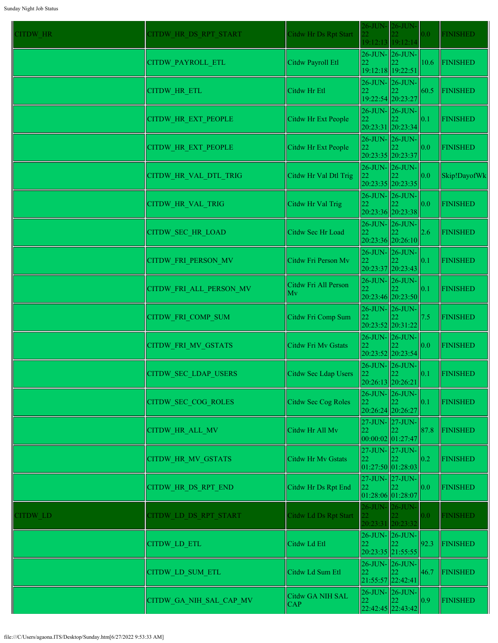| <b>CITDW HR</b> | CITDW HR DS RPT START      | Citdw Hr Ds Rpt Start          |                 | $26$ -JUN- $26$ -JUN-<br>19:12:13 19:12:14             | 0.0 <sub>1</sub>           | <b>FINISHED</b> |
|-----------------|----------------------------|--------------------------------|-----------------|--------------------------------------------------------|----------------------------|-----------------|
|                 | CITDW_PAYROLL_ETL          | Citdw Payroll Etl              | 22              | $26$ -JUN- $ 26$ -JUN- $ $<br>19:12:18 19:22:51        | $ 10.6\rangle$             | <b>FINISHED</b> |
|                 | CITDW_HR_ETL               | Citdw Hr Etl                   | 22              | $26$ -JUN- $ 26$ -JUN- $ $<br>19:22:54 20:23:27        | 60.5                       | <b>FINISHED</b> |
|                 | <b>CITDW HR EXT PEOPLE</b> | Citdw Hr Ext People            | 22              | 26-JUN-26-JUN-<br>22<br>20:23:31 20:23:34              | 0.1                        | <b>FINISHED</b> |
|                 | CITDW_HR_EXT_PEOPLE        | Citdw Hr Ext People            | 22              | $26$ -JUN- $ 26$ -JUN- $ $<br>20:23:35 20:23:37        | 0.0                        | <b>FINISHED</b> |
|                 | CITDW_HR_VAL_DTL_TRIG      | Citdw Hr Val Dtl Trig          | 22              | $26$ -JUN- $ 26$ -JUN- $ $<br>22<br>20:23:35 20:23:35  | $\parallel$ 0.0            | Skip!DayofWk    |
|                 | CITDW_HR_VAL_TRIG          | Citdw Hr Val Trig              | 22              | $26$ -JUN- $ 26$ -JUN-<br>20:23:36 20:23:38            | $\parallel$ 0.0            | <b>FINISHED</b> |
|                 | <b>CITDW SEC HR LOAD</b>   | Citdw Sec Hr Load              | 22              | $26$ -JUN- $ 26$ -JUN- $ $<br>20:23:36 20:26:10        | 2.6                        | <b>FINISHED</b> |
|                 | CITDW_FRI_PERSON_MV        | Citdw Fri Person Mv            | 22              | $26$ -JUN- $ 26$ -JUN- $ $<br>20:23:37 20:23:43        | $\vert\vert 0.1$           | <b>FINISHED</b> |
|                 | CITDW_FRI_ALL_PERSON_MV    | Citdw Fri All Person<br>Mv     | 22.             | 26-JUN- 26-JUN-<br>20:23:46 20:23:50                   | $\vert$ 0.1                | <b>FINISHED</b> |
|                 | CITDW_FRI_COMP_SUM         | Citdw Fri Comp Sum             | 22              | $26$ -JUN- $ 26$ -JUN- $ $<br>20:23:52 20:31:22        | 7.5                        | <b>FINISHED</b> |
|                 | <b>CITDW FRI MV GSTATS</b> | Citdw Fri Mv Gstats            | 22              | 26-JUN- 26-JUN-<br>20:23:52 20:23:54                   | $\overline{\parallel 0.0}$ | <b>FINISHED</b> |
|                 | CITDW SEC LDAP USERS       | Citdw Sec Ldap Users           | 22              | $26$ -JUN- $26$ -JUN-<br>$20:26:13$ 20:26:21           | $\vert\vert 0.1$           | <b>FINISHED</b> |
|                 | <b>CITDW SEC COG ROLES</b> | Citdw Sec Cog Roles            | 22              | $26$ -JUN- $ 26$ -JUN- $ $<br>20:26:24 20:26:27        | $\parallel$ 0.1            | <b>FINISHED</b> |
|                 | CITDW HR ALL MV            | Citdw Hr All Mv                | 22              | 27-JUN- 27-JUN-<br>00:00:02 01:27:47                   | 87.8                       | <b>FINISHED</b> |
|                 | <b>CITDW HR MV GSTATS</b>  | Citdw Hr Mv Gstats             | 22              | 27-JUN- 27-JUN-<br>01:27:50 01:28:03                   | $\vert$ 0.2                | <b>FINISHED</b> |
|                 | CITDW_HR_DS_RPT_END        | Citdw Hr Ds Rpt End            | 22              | $27$ -JUN- $\vert 27$ -JUN-<br>22<br>01:28:06 01:28:07 | $\parallel$ 0.0            | <b>FINISHED</b> |
| <b>ITDW LD</b>  | CITDW LD DS RPT START      | Citdw Ld Ds Rpt Start          | 26-JUN- 26-JUN- | 20:23:31 20:23:32                                      | 0.0                        | <b>FINISHED</b> |
|                 | CITDW_LD_ETL               | Citdw Ld Etl                   | 22              | 26-JUN-26-JUN-<br>22<br>20:23:35 21:55:55              | 92.3                       | <b>FINISHED</b> |
|                 | <b>CITDW LD SUM ETL</b>    | Citdw Ld Sum Etl               | 22              | 26-JUN- 26-JUN-<br>21:55:57 22:42:41                   | 46.7                       | <b>FINISHED</b> |
|                 | CITDW_GA_NIH_SAL_CAP_MV    | Citdw GA NIH SAL<br><b>CAP</b> | 22              | 26-JUN- 26-JUN-<br>22<br>22:42:45 22:43:42             | $\vert$ 0.9                | <b>FINISHED</b> |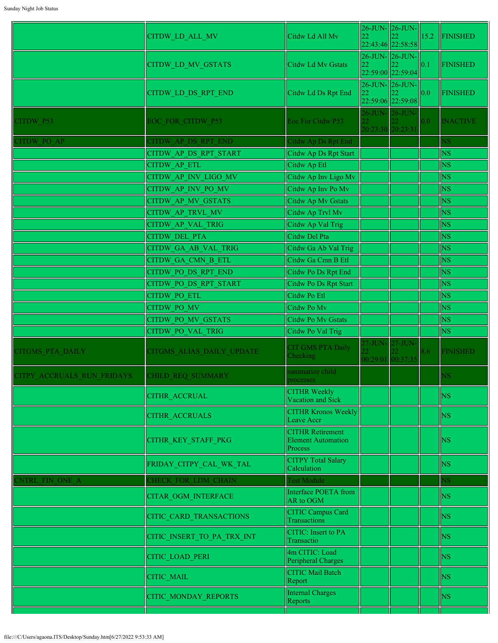|                            | CITDW_LD_ALL_MV             | Citdw Ld All Mv                                                 | 22              | 26-JUN- 26-JUN-<br>22:43:46 22:58:58       | 15.2 | <b>FINISHED</b> |
|----------------------------|-----------------------------|-----------------------------------------------------------------|-----------------|--------------------------------------------|------|-----------------|
|                            | <b>CITDW LD MV GSTATS</b>   | Citdw Ld Mv Gstats                                              | 22              | $26$ -JUN- $26$ -JUN-<br>22:59:00 22:59:04 | 0.1  | <b>FINISHED</b> |
|                            | CITDW LD DS RPT END         | Citdw Ld Ds Rpt End                                             | 22              | 26-JUN- 26-JUN-<br>22:59:06 22:59:08       | 0.0  | <b>FINISHED</b> |
| CITDW P53                  | <b>EOC FOR CITDW P53</b>    | Eoc For Citdw P53                                               | $\overline{22}$ | $26$ -JUN- $26$ -JUN-<br>20:23:30 20:23:31 | 0.0  | <b>INACTIVE</b> |
| CITDW PO AP                | CITDW AP DS RPT END         | Citdw Ap Ds Rpt End                                             |                 |                                            |      | <b>NS</b>       |
|                            | CITDW AP DS RPT START       | Citdw Ap Ds Rpt Start                                           |                 |                                            |      | <b>NS</b>       |
|                            | <b>CITDW AP ETL</b>         | Citdw Ap Etl                                                    |                 |                                            |      | <b>NS</b>       |
|                            | CITDW AP INV LIGO MV        | Citdw Ap Inv Ligo Mv                                            |                 |                                            |      | <b>NS</b>       |
|                            | CITDW AP INV PO MV          | Citdw Ap Inv Po Mv                                              |                 |                                            |      | <b>NS</b>       |
|                            | <b>CITDW AP MV GSTATS</b>   | Citdw Ap Mv Gstats                                              |                 |                                            |      | <b>NS</b>       |
|                            | CITDW AP TRVL MV            | Citdw Ap Trvl Mv                                                |                 |                                            |      | <b>NS</b>       |
|                            | <b>CITDW AP VAL TRIG</b>    | Citdw Ap Val Trig                                               |                 |                                            |      | <b>NS</b>       |
|                            | <b>CITDW DEL PTA</b>        | Citdw Del Pta                                                   |                 |                                            |      | <b>NS</b>       |
|                            | <b>CITDW GA AB VAL TRIG</b> | Citdw Ga Ab Val Trig                                            |                 |                                            |      | <b>NS</b>       |
|                            | <b>CITDW GA CMN B ETL</b>   | Citdw Ga Cmn B Etl                                              |                 |                                            |      | <b>NS</b>       |
|                            | <b>CITDW PO DS RPT END</b>  | Citdw Po Ds Rpt End                                             |                 |                                            |      | <b>NS</b>       |
|                            | CITDW PO DS RPT START       | Citdw Po Ds Rpt Start                                           |                 |                                            |      | <b>NS</b>       |
|                            | <b>CITDW PO ETL</b>         | Citdw Po Etl                                                    |                 |                                            |      | <b>NS</b>       |
|                            | CITDW PO MV                 |                                                                 |                 |                                            |      |                 |
|                            |                             | Citdw Po Mv                                                     |                 |                                            |      | <b>NS</b>       |
|                            | <b>CITDW PO MV GSTATS</b>   | Citdw Po Mv Gstats                                              |                 |                                            |      | <b>NS</b>       |
|                            | <b>CITDW PO VAL TRIG</b>    | Citdw Po Val Trig                                               |                 |                                            |      | <b>NS</b>       |
| CITGMS PTA DAILY           | CITGMS ALIAS DAILY UPDATE   | CIT GMS PTA Daily<br>Checking                                   |                 | 27-JUN- 27-JUN-<br>00:29:01 00:37:35       | 8.6  | <b>FINISHED</b> |
| CITPY ACCRUALS RUN FRIDAYS | CHILD REQ SUMMARY           | summarize child<br>rocesses                                     |                 |                                            |      | $_{\rm NS}$     |
|                            | <b>CITHR ACCRUAL</b>        | <b>CITHR Weekly</b><br>Vacation and Sick                        |                 |                                            |      | <b>NS</b>       |
|                            | <b>CITHR ACCRUALS</b>       | <b>CITHR Kronos Weekly</b><br>Leave Accr                        |                 |                                            |      | <b>NS</b>       |
|                            | <b>CITHR KEY STAFF PKG</b>  | <b>CITHR Retirement</b><br><b>Element Automation</b><br>Process |                 |                                            |      | <b>NS</b>       |
|                            | FRIDAY_CITPY_CAL_WK_TAL     | <b>CITPY Total Salary</b><br>Calculation                        |                 |                                            |      | <b>NS</b>       |
| <b>NTRL FIN ONE A</b>      | CHECK FOR LDM CHAIN         | <b>Test Module</b>                                              |                 |                                            |      | NS.             |
|                            | <b>CITAR OGM INTERFACE</b>  | Interface POETA from<br>AR to OGM                               |                 |                                            |      | <b>NS</b>       |
|                            | CITIC CARD TRANSACTIONS     | <b>CITIC Campus Card</b><br>Transactions                        |                 |                                            |      | <b>NS</b>       |
|                            | CITIC_INSERT_TO_PA_TRX_INT  | <b>CITIC:</b> Insert to PA<br>Transactio                        |                 |                                            |      | <b>NS</b>       |
|                            | <b>CITIC LOAD PERI</b>      | 4m CITIC: Load<br>Peripheral Charges                            |                 |                                            |      | <b>NS</b>       |
|                            | <b>CITIC MAIL</b>           | <b>CITIC Mail Batch</b><br>Report                               |                 |                                            |      | <b>NS</b>       |
|                            | <b>CITIC MONDAY REPORTS</b> | <b>Internal Charges</b><br>Reports                              |                 |                                            |      | <b>NS</b>       |
|                            |                             |                                                                 |                 |                                            |      |                 |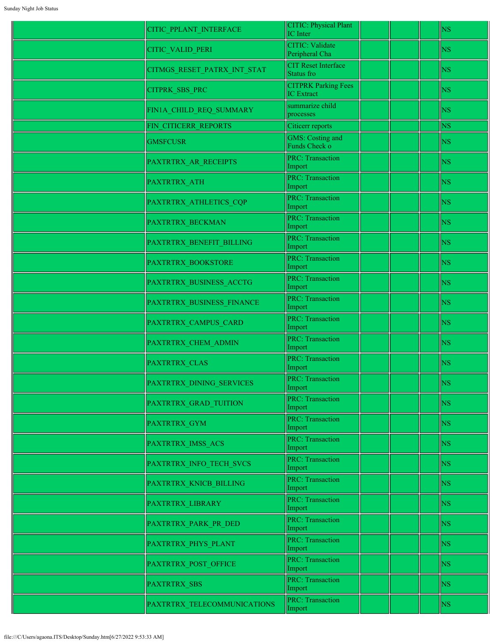| CITIC PPLANT INTERFACE      | <b>CITIC: Physical Plant</b><br>IC Inter        |  | <b>NS</b> |
|-----------------------------|-------------------------------------------------|--|-----------|
| <b>CITIC VALID PERI</b>     | CITIC: Validate<br>Peripheral Cha               |  | <b>NS</b> |
| CITMGS RESET PATRX INT STAT | <b>CIT Reset Interface</b><br>Status fro        |  | <b>NS</b> |
| <b>CITPRK SBS PRC</b>       | <b>CITPRK Parking Fees</b><br><b>IC</b> Extract |  | <b>NS</b> |
| FIN1A_CHILD_REQ_SUMMARY     | summarize child<br>processes                    |  | <b>NS</b> |
| FIN CITICERR REPORTS        | Citicerr reports                                |  | <b>NS</b> |
| <b>GMSFCUSR</b>             | <b>GMS:</b> Costing and<br>Funds Check o        |  | <b>NS</b> |
| PAXTRTRX_AR_RECEIPTS        | <b>PRC: Transaction</b><br>Import               |  | <b>NS</b> |
| PAXTRTRX ATH                | <b>PRC: Transaction</b><br>Import               |  | <b>NS</b> |
| PAXTRTRX_ATHLETICS_CQP      | <b>PRC: Transaction</b><br>Import               |  | <b>NS</b> |
| PAXTRTRX BECKMAN            | <b>PRC: Transaction</b><br>Import               |  | <b>NS</b> |
| PAXTRTRX BENEFIT BILLING    | <b>PRC: Transaction</b><br>Import               |  | <b>NS</b> |
| PAXTRTRX BOOKSTORE          | <b>PRC: Transaction</b><br>Import               |  | <b>NS</b> |
| PAXTRTRX_BUSINESS_ACCTG     | <b>PRC: Transaction</b><br>Import               |  | <b>NS</b> |
| PAXTRTRX_BUSINESS_FINANCE   | <b>PRC: Transaction</b><br>Import               |  | <b>NS</b> |
| PAXTRTRX_CAMPUS_CARD        | <b>PRC: Transaction</b><br>Import               |  | <b>NS</b> |
| PAXTRTRX CHEM ADMIN         | <b>PRC: Transaction</b><br>Import               |  | <b>NS</b> |
| PAXTRTRX CLAS               | <b>PRC: Transaction</b><br>Import               |  | <b>NS</b> |
| PAXTRTRX DINING SERVICES    | <b>PRC: Transaction</b><br>Import               |  | <b>NS</b> |
| PAXTRTRX GRAD TUITION       | <b>PRC: Transaction</b><br>Import               |  | <b>NS</b> |
| PAXTRTRX_GYM                | <b>PRC: Transaction</b><br>Import               |  | <b>NS</b> |
| PAXTRTRX IMSS ACS           | <b>PRC: Transaction</b><br>Import               |  | <b>NS</b> |
| PAXTRTRX INFO TECH SVCS     | <b>PRC: Transaction</b><br>Import               |  | <b>NS</b> |
| PAXTRTRX_KNICB_BILLING      | <b>PRC: Transaction</b><br>Import               |  | <b>NS</b> |
| PAXTRTRX LIBRARY            | <b>PRC: Transaction</b><br>Import               |  | <b>NS</b> |
| PAXTRTRX PARK PR DED        | <b>PRC: Transaction</b><br>Import               |  | <b>NS</b> |
| PAXTRTRX PHYS PLANT         | <b>PRC: Transaction</b><br>Import               |  | <b>NS</b> |
| PAXTRTRX POST OFFICE        | <b>PRC: Transaction</b><br>Import               |  | <b>NS</b> |
| <b>PAXTRTRX SBS</b>         | <b>PRC: Transaction</b><br>Import               |  | <b>NS</b> |
| PAXTRTRX TELECOMMUNICATIONS | <b>PRC: Transaction</b><br>Import               |  | <b>NS</b> |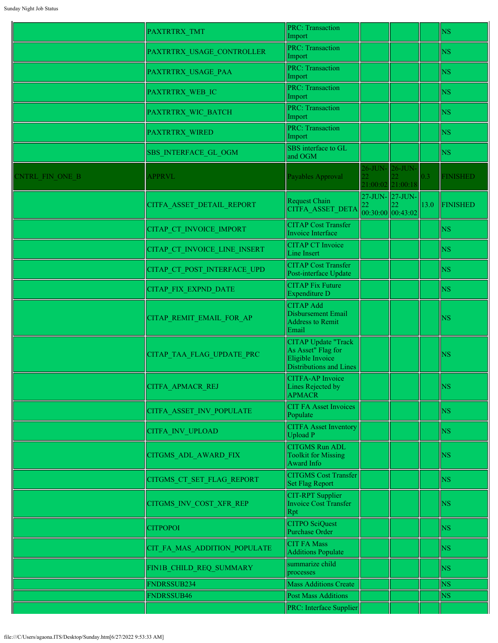|                 | PAXTRTRX TMT                 | <b>PRC: Transaction</b><br>Import                                                               |                            |                                             |      | <b>NS</b>              |
|-----------------|------------------------------|-------------------------------------------------------------------------------------------------|----------------------------|---------------------------------------------|------|------------------------|
|                 | PAXTRTRX_USAGE_CONTROLLER    | <b>PRC: Transaction</b><br>Import                                                               |                            |                                             |      | $\overline{\text{NS}}$ |
|                 | PAXTRTRX_USAGE_PAA           | <b>PRC: Transaction</b><br>Import                                                               |                            |                                             |      | <b>NS</b>              |
|                 | PAXTRTRX_WEB_IC              | <b>PRC: Transaction</b><br>Import                                                               |                            |                                             |      | <b>NS</b>              |
|                 | PAXTRTRX_WIC_BATCH           | <b>PRC: Transaction</b><br>Import                                                               |                            |                                             |      | <b>NS</b>              |
|                 | PAXTRTRX_WIRED               | <b>PRC: Transaction</b><br>Import                                                               |                            |                                             |      | <b>NS</b>              |
|                 | SBS_INTERFACE_GL_OGM         | SBS interface to GL<br>and OGM                                                                  |                            |                                             |      | <b>NS</b>              |
| CNTRL FIN ONE B | <b>APPRVL</b>                | Payables Approval                                                                               | 26-JUN-<br>$\overline{22}$ | $26$ -JUN-<br>21:00:02 21:00:18             | 0.3  | <b>FINISHED</b>        |
|                 | CITFA_ASSET_DETAIL_REPORT    | Request Chain<br>CITFA ASSET DETA                                                               | 22                         | 27-JUN- 27-JUN-<br>22<br> 00:30:00 00:43:02 | 13.0 | <b>FINISHED</b>        |
|                 | CITAP CT INVOICE IMPORT      | <b>CITAP Cost Transfer</b><br>Invoice Interface                                                 |                            |                                             |      | <b>NS</b>              |
|                 | CITAP_CT_INVOICE_LINE_INSERT | <b>CITAP CT Invoice</b><br>Line Insert                                                          |                            |                                             |      | <b>NS</b>              |
|                 | CITAP_CT_POST_INTERFACE_UPD  | <b>CITAP Cost Transfer</b><br>Post-interface Update                                             |                            |                                             |      | <b>NS</b>              |
|                 | CITAP_FIX_EXPND_DATE         | <b>CITAP</b> Fix Future<br>Expenditure D                                                        |                            |                                             |      | <b>NS</b>              |
|                 | CITAP_REMIT_EMAIL_FOR_AP     | <b>CITAP Add</b><br>Disbursement Email<br><b>Address to Remit</b><br>Email                      |                            |                                             |      | <b>NS</b>              |
|                 | CITAP_TAA_FLAG_UPDATE_PRC    | <b>CITAP</b> Update "Track<br>As Asset" Flag for<br>Eligible Invoice<br>Distributions and Lines |                            |                                             |      | <b>NS</b>              |
|                 | CITFA APMACR REJ             | CITFA-AP Invoice<br>Lines Rejected by<br><b>APMACR</b>                                          |                            |                                             |      | <b>NS</b>              |
|                 | CITFA ASSET INV POPULATE     | <b>CIT FA Asset Invoices</b><br>Populate                                                        |                            |                                             |      | <b>NS</b>              |
|                 | <b>CITFA INV UPLOAD</b>      | <b>CITFA Asset Inventory</b><br>Upload P                                                        |                            |                                             |      | <b>NS</b>              |
|                 | CITGMS_ADL_AWARD_FIX         | <b>CITGMS Run ADL</b><br><b>Toolkit for Missing</b><br>Award Info                               |                            |                                             |      | <b>NS</b>              |
|                 | CITGMS CT SET FLAG REPORT    | CITGMS Cost Transfer<br><b>Set Flag Report</b>                                                  |                            |                                             |      | <b>NS</b>              |
|                 | CITGMS INV COST XFR REP      | CIT-RPT Supplier<br><b>Invoice Cost Transfer</b><br>Rpt                                         |                            |                                             |      | <b>NS</b>              |
|                 | <b>CITPOPOI</b>              | <b>CITPO SciQuest</b><br>Purchase Order                                                         |                            |                                             |      | <b>NS</b>              |
|                 | CIT_FA_MAS_ADDITION_POPULATE | <b>CIT FA Mass</b><br>Additions Populate                                                        |                            |                                             |      | <b>NS</b>              |
|                 | FIN1B CHILD REQ SUMMARY      | summarize child<br>processes                                                                    |                            |                                             |      | $\overline{\text{NS}}$ |
|                 | FNDRSSUB234                  | <b>Mass Additions Create</b>                                                                    |                            |                                             |      | <b>NS</b>              |
|                 | <b>FNDRSSUB46</b>            | <b>Post Mass Additions</b>                                                                      |                            |                                             |      | <b>NS</b>              |
|                 |                              | PRC: Interface Supplier                                                                         |                            |                                             |      |                        |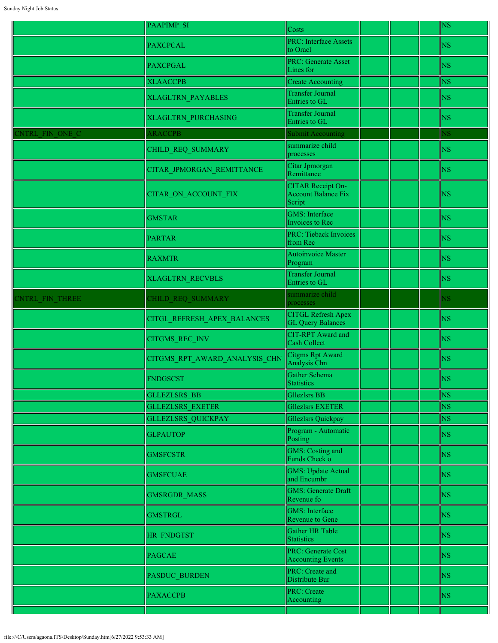|                 | <b>PAAPIMP SI</b>             | Costs                                                 |  | <b>NS</b>              |
|-----------------|-------------------------------|-------------------------------------------------------|--|------------------------|
|                 | <b>PAXCPCAL</b>               | <b>PRC: Interface Assets</b><br>to Oracl              |  | $\overline{\text{NS}}$ |
|                 | <b>PAXCPGAL</b>               | <b>PRC: Generate Asset</b><br>Lines for               |  | <b>NS</b>              |
|                 | <b>XLAACCPB</b>               | <b>Create Accounting</b>                              |  | <b>NS</b>              |
|                 | XLAGLTRN_PAYABLES             | <b>Transfer Journal</b><br>Entries to GL              |  | <b>NS</b>              |
|                 | XLAGLTRN_PURCHASING           | <b>Transfer Journal</b><br>Entries to GL              |  | $\overline{\text{NS}}$ |
| CNTRL FIN ONE C | ARACCPB                       | <b>Submit Accounting</b>                              |  | $\overline{\text{NS}}$ |
|                 | CHILD_REQ_SUMMARY             | summarize child<br>processes                          |  | <b>NS</b>              |
|                 | CITAR JPMORGAN REMITTANCE     | Citar Jpmorgan<br>Remittance                          |  | <b>NS</b>              |
|                 | CITAR_ON_ACCOUNT_FIX          | CITAR Receipt On-<br>Account Balance Fix<br>Script    |  | <b>NS</b>              |
|                 | <b>GMSTAR</b>                 | <b>GMS</b> : Interface<br>Invoices to Rec             |  | <b>NS</b>              |
|                 | <b>PARTAR</b>                 | PRC: Tieback Invoices<br>from Rec                     |  | <b>NS</b>              |
|                 | <b>RAXMTR</b>                 | <b>Autoinvoice Master</b><br>Program                  |  | <b>NS</b>              |
|                 | <b>XLAGLTRN RECVBLS</b>       | <b>Transfer Journal</b><br>Entries to GL              |  | $\overline{\text{NS}}$ |
| CNTRL FIN THREE | CHILD REQ SUMMARY             | summarize child<br>processes                          |  | $_{\rm NS}$            |
|                 | CITGL REFRESH APEX BALANCES   | <b>CITGL Refresh Apex</b><br><b>GL Query Balances</b> |  | <b>NS</b>              |
|                 | <b>CITGMS REC INV</b>         | <b>CIT-RPT</b> Award and<br>Cash Collect              |  | <b>NS</b>              |
|                 | CITGMS RPT AWARD ANALYSIS CHN | Citgms Rpt Award<br>Analysis Chn                      |  | <b>NS</b>              |
|                 | <b>FNDGSCST</b>               | Gather Schema<br><b>Statistics</b>                    |  | $\sqrt{NS}$            |
|                 | <b>GLLEZLSRS BB</b>           | Gllezlsrs BB                                          |  | <b>NS</b>              |
|                 | <b>GLLEZLSRS EXETER</b>       | <b>Gllezlsrs EXETER</b>                               |  | $_{\rm NS}$            |
|                 | <b>GLLEZLSRS QUICKPAY</b>     | Gllezlsrs Quickpay                                    |  | NS                     |
|                 | <b>GLPAUTOP</b>               | Program - Automatic<br>Posting                        |  | <b>NS</b>              |
|                 | <b>GMSFCSTR</b>               | GMS: Costing and<br>Funds Check o                     |  | <b>NS</b>              |
|                 | <b>GMSFCUAE</b>               | GMS: Update Actual<br>and Encumbr                     |  | <b>NS</b>              |
|                 | <b>GMSRGDR MASS</b>           | GMS: Generate Draft<br>Revenue fo                     |  | <b>NS</b>              |
|                 | <b>GMSTRGL</b>                | GMS: Interface<br><b>Revenue to Gene</b>              |  | <b>NS</b>              |
|                 | HR FNDGTST                    | Gather HR Table<br><b>Statistics</b>                  |  | <b>NS</b>              |
|                 | <b>PAGCAE</b>                 | <b>PRC: Generate Cost</b><br><b>Accounting Events</b> |  | <b>NS</b>              |
|                 | PASDUC BURDEN                 | PRC: Create and<br>Distribute Bur                     |  | $\overline{\text{NS}}$ |
|                 | <b>PAXACCPB</b>               | PRC: Create<br>Accounting                             |  | <b>NS</b>              |
|                 |                               |                                                       |  |                        |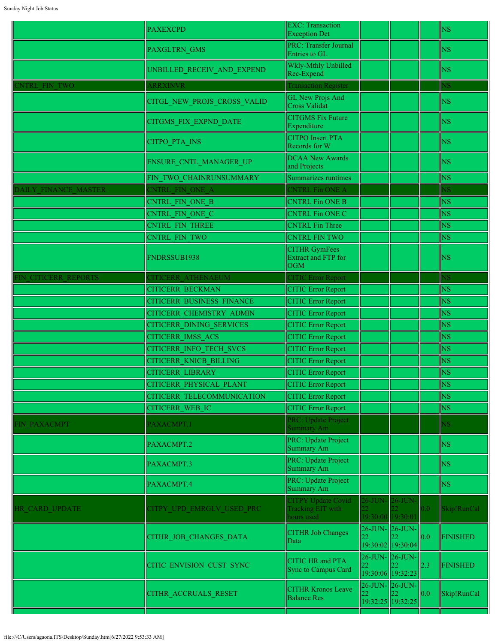|                      | <b>PAXEXCPD</b>                  | <b>EXC:</b> Transaction<br><b>Exception Det</b>              |                                      |                                      |                  | <b>NS</b>       |
|----------------------|----------------------------------|--------------------------------------------------------------|--------------------------------------|--------------------------------------|------------------|-----------------|
|                      | <b>PAXGLTRN GMS</b>              | PRC: Transfer Journal<br>Entries to GL                       |                                      |                                      |                  | NS              |
|                      | UNBILLED RECEIV AND EXPEND       | Wkly-Mthly Unbilled<br>Rec-Expend                            |                                      |                                      |                  | NS.             |
| NTRL FIN TWO         | ARRXINVR                         | <b>Transaction Register</b>                                  |                                      |                                      |                  | NS              |
|                      | CITGL_NEW_PROJS_CROSS_VALID      | GL New Projs And<br><b>Cross Validat</b>                     |                                      |                                      |                  | <b>NS</b>       |
|                      | CITGMS_FIX_EXPND_DATE            | <b>CITGMS Fix Future</b><br>Expenditure                      |                                      |                                      |                  | <b>NS</b>       |
|                      | <b>CITPO PTA INS</b>             | <b>CITPO</b> Insert PTA<br>Records for W                     |                                      |                                      |                  | NS.             |
|                      | ENSURE_CNTL_MANAGER_UP           | <b>DCAA New Awards</b><br>and Projects                       |                                      |                                      |                  | NS.             |
|                      | FIN TWO CHAINRUNSUMMARY          | Summarizes runtimes                                          |                                      |                                      |                  | <b>NS</b>       |
| DAILY FINANCE MASTER | CNTRL FIN ONE A                  | CNTRL Fin ONE A                                              |                                      |                                      |                  | NS              |
|                      | <b>CNTRL FIN ONE B</b>           | <b>CNTRL Fin ONE B</b>                                       |                                      |                                      |                  | <b>NS</b>       |
|                      | <b>CNTRL FIN ONE C</b>           | <b>CNTRL Fin ONE C</b>                                       |                                      |                                      |                  | <b>NS</b>       |
|                      | <b>CNTRL FIN THREE</b>           | <b>CNTRL</b> Fin Three                                       |                                      |                                      |                  | <b>NS</b>       |
|                      | <b>CNTRL FIN TWO</b>             | <b>CNTRL FIN TWO</b>                                         |                                      |                                      |                  | <b>NS</b>       |
|                      | FNDRSSUB1938                     | <b>CITHR GymFees</b><br>Extract and FTP for<br>OGM           |                                      |                                      |                  | <b>NS</b>       |
| FIN CITICERR REPORTS | <b>CITICERR ATHENAEUM</b>        | <b>CITIC Error Report</b>                                    |                                      |                                      |                  | NS              |
|                      | <b>CITICERR BECKMAN</b>          | <b>CITIC Error Report</b>                                    |                                      |                                      |                  | <b>NS</b>       |
|                      | <b>CITICERR BUSINESS FINANCE</b> | <b>CITIC Error Report</b>                                    |                                      |                                      |                  | <b>NS</b>       |
|                      | CITICERR CHEMISTRY ADMIN         | <b>CITIC Error Report</b>                                    |                                      |                                      |                  | <b>NS</b>       |
|                      | <b>CITICERR DINING SERVICES</b>  | <b>CITIC Error Report</b>                                    |                                      |                                      |                  | <b>NS</b>       |
|                      | <b>CITICERR IMSS ACS</b>         | <b>CITIC Error Report</b>                                    |                                      |                                      |                  | <b>NS</b>       |
|                      | <b>CITICERR INFO TECH SVCS</b>   | <b>CITIC Error Report</b>                                    |                                      |                                      |                  | <b>NS</b>       |
|                      | <b>CITICERR KNICB BILLING</b>    | <b>CITIC Error Report</b>                                    |                                      |                                      |                  | <b>NS</b>       |
|                      | <b>CITICERR LIBRARY</b>          | <b>CITIC Error Report</b>                                    |                                      |                                      |                  | <b>NS</b>       |
|                      | CITICERR PHYSICAL PLANT          | <b>CITIC Error Report</b>                                    |                                      |                                      |                  | <b>NS</b>       |
|                      | CITICERR TELECOMMUNICATION       | <b>CITIC Error Report</b>                                    |                                      |                                      |                  | <b>NS</b>       |
|                      | CITICERR WEB IC                  | <b>CITIC Error Report</b>                                    |                                      |                                      |                  | <b>NS</b>       |
| FIN PAXACMPT         | PAXACMPT.1                       | PRC: Update Project<br>Summary Am                            |                                      |                                      |                  | NS.             |
|                      | PAXACMPT.2                       | PRC: Update Project<br>Summary Am                            |                                      |                                      |                  | NS              |
|                      | PAXACMPT.3                       | PRC: Update Project<br>Summary Am                            |                                      |                                      |                  | NS              |
|                      | PAXACMPT.4                       | PRC: Update Project<br><b>Summary Am</b>                     |                                      |                                      |                  | <b>NS</b>       |
| HR CARD UPDATE       | CITPY UPD EMRGLV USED PRC        | <b>CITPY Update Covid</b><br>Tracking EIT with<br>hours used | 26-JUN- 26-JUN-<br>19:30:00 19:30:01 |                                      | 0.0 <sub>1</sub> | Skip!RunCal     |
|                      | CITHR JOB CHANGES DATA           | CITHR Job Changes<br>Data                                    |                                      | 26-JUN- 26-JUN-<br>19:30:02 19:30:04 | 0.0              | <b>FINISHED</b> |
|                      | CITIC ENVISION CUST SYNC         | CITIC HR and PTA<br>Sync to Campus Card                      | 26-JUN- 26-JUN-<br>19:30:06 19:32:23 |                                      | 2.3              | <b>FINISHED</b> |
|                      | CITHR ACCRUALS RESET             | <b>CITHR Kronos Leave</b><br><b>Balance Res</b>              |                                      | 26-JUN- 26-JUN-<br>19:32:25 19:32:25 | 0.0              | Skip!RunCal     |
|                      |                                  |                                                              |                                      |                                      |                  |                 |